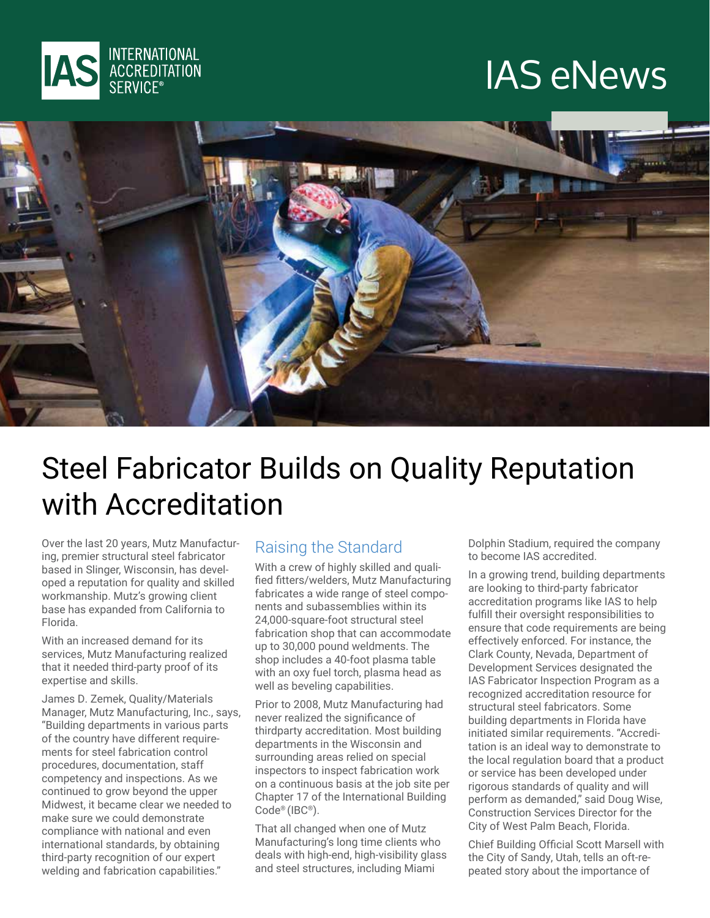

## **IAS eNews**



### Steel Fabricator Builds on Quality Reputation with Accreditation

ing, premier structural steel fabricator Over the last 20 years, Mutz Manufacturoped a reputation for quality and skilled based in Slinger. Wisconsin, has develworkmanship. Mutz's growing client base has expanded from California to .Florida

With an increased demand for its services, Mutz Manufacturing realized that it needed third-party proof of its expertise and skills.

James D. Zemek, Quality/Materials Manager, Mutz Manufacturing, Inc., says, "Building departments in various parts ments for steel fabrication control of the country have different requireprocedures, documentation, staff competency and inspections. As we continued to grow beyond the upper Midwest, it became clear we needed to make sure we could demonstrate compliance with national and even international standards, by obtaining third-party recognition of our expert welding and fabrication capabilities."

#### Raising the Standard

fied fitters/welders, Mutz Manufacturing With a crew of highly skilled and qualinents and subassemblies within its fabricates a wide range of steel compo-24,000-square-foot structural steel fabrication shop that can accommodate up to 30,000 pound weldments. The shop includes a 40-foot plasma table with an oxy fuel torch, plasma head as well as beveling capabilities.

Prior to 2008, Mutz Manufacturing had never realized the significance of thirdparty accreditation. Most building departments in the Wisconsin and surrounding areas relied on special inspectors to inspect fabrication work on a continuous basis at the job site per Chapter 17 of the International Building Code® (IBC®).

That all changed when one of Mutz Manufacturing's long time clients who deals with high-end, high-visibility glass and steel structures, including Miami

Dolphin Stadium, required the company to become IAS accredited.

In a growing trend, building departments are looking to third-party fabricator accreditation programs like IAS to help fulfill their oversight responsibilities to ensure that code requirements are being effectively enforced. For instance, the Clark County, Nevada, Department of Development Services designated the IAS Fabricator Inspection Program as a recognized accreditation resource for structural steel fabricators. Some building departments in Florida have tation is an ideal way to demonstrate to initiated similar requirements. "Accredithe local regulation board that a product or service has been developed under rigorous standards of quality and will perform as demanded." said Doug Wise. Construction Services Director for the City of West Palm Beach, Florida.

Chief Building Official Scott Marsell with peated story about the importance of the City of Sandy, Utah, tells an oft-re-